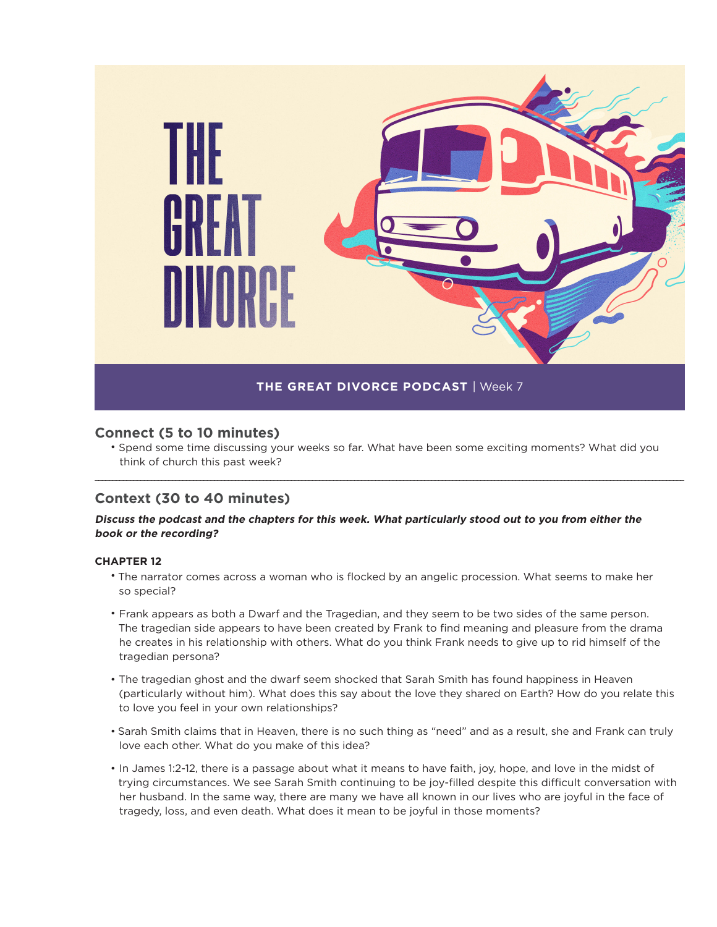

## **Connect (5 to 10 minutes)**

• Spend some time discussing your weeks so far. What have been some exciting moments? What did you think of church this past week?

\_\_\_\_\_\_\_\_\_\_\_\_\_\_\_\_\_\_\_\_\_\_\_\_\_\_\_\_\_\_\_\_\_\_\_\_\_\_\_\_\_\_\_\_\_\_\_\_\_\_\_\_\_\_\_\_\_\_\_\_\_\_\_\_\_\_\_\_\_\_\_\_\_\_\_\_\_\_\_\_\_\_\_\_\_\_\_\_\_\_\_\_\_\_\_\_\_\_\_\_\_\_\_\_\_\_\_\_\_\_\_\_\_\_\_\_\_\_\_\_\_\_\_\_\_\_\_\_\_\_\_\_\_\_\_\_\_\_\_\_\_\_\_\_\_\_\_\_\_\_\_\_\_\_\_\_\_\_\_\_\_\_\_\_\_\_\_\_

# **Context (30 to 40 minutes)**

### **Discuss the podcast and the chapters for this week. What particularly stood out to you from either the book or the recording?**

#### **CHAPTER 12**

- The narrator comes across a woman who is flocked by an angelic procession. What seems to make her so special?
- Frank appears as both a Dwarf and the Tragedian, and they seem to be two sides of the same person. The tragedian side appears to have been created by Frank to find meaning and pleasure from the drama he creates in his relationship with others. What do you think Frank needs to give up to rid himself of the tragedian persona?
- The tragedian ghost and the dwarf seem shocked that Sarah Smith has found happiness in Heaven (particularly without him). What does this say about the love they shared on Earth? How do you relate this to love you feel in your own relationships?
- Sarah Smith claims that in Heaven, there is no such thing as "need" and as a result, she and Frank can truly love each other. What do you make of this idea?
- In James 1:2-12, there is a passage about what it means to have faith, joy, hope, and love in the midst of trying circumstances. We see Sarah Smith continuing to be joy-filled despite this difficult conversation with her husband. In the same way, there are many we have all known in our lives who are joyful in the face of tragedy, loss, and even death. What does it mean to be joyful in those moments?